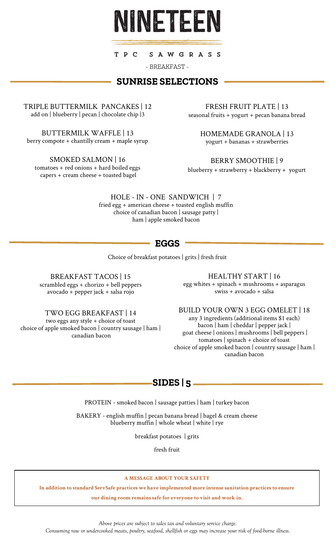

T P C SAWGRASS

- BREAKFAST -

## **SUNRISE SELECTIONS**

TRIPLE BUTTERMILK PANCAKES | 12 add on | blueberry | pecan | chocolate chip |3

BUTTERMILK WAFFLE | 13 berry compote + chantilly cream + maple syrup

SMOKED SALMON | 16 tomatoes + red onions + hard boiled eggs capers + cream cheese + toasted bagel

FRESH FRUIT PLATE | 13 seasonal fruits + yogurt + pecan banana bread

> HOMEMADE GRANOLA | 13 yogurt + bananas + strawberries

BERRY SMOOTHIE | 9

blueberry + strawberry + blackberry + yogurt

HOLE - IN - ONE SANDWICH | 7 fried egg + american cheese + toasted english muffin choice of canadian bacon | sausage patty | ham | apple smoked bacon

## **EGGS**

Choice of breakfast potatoes | grits | fresh fruit

BREAKFAST TACOS | 15 scrambled eggs + chorizo + bell peppers avocado + pepper jack + salsa rojo

HEALTHY START | 16

egg whites + spinach + mushrooms + asparagus swiss + avocado + salsa

TWO EGG BREAKFAST | 14

two eggs any style + choice of toast choice of apple smoked bacon | country sausage | ham | canadian bacon

BUILD YOUR OWN 3 EGG OMELET | 18 any 3 ingredients (additional items \$1 each) bacon | ham | cheddar | pepper jack | goat cheese | onions | mushrooms | bell peppers | tomatoes | spinach + choice of toast choice of apple smoked bacon | country sausage | ham | canadian bacon

# **SIDES | 5**

PROTEIN - smoked bacon | sausage patties | ham | turkey bacon

BAKERY - english muffin | pecan banana bread | bagel & cream cheese blueberry muffin | whole wheat | white | rye

breakfast potatoes | grits

fresh fruit

### **A MESSAGE ABOUT YOUR SAFETY**

**In addition to standard ServSafe practices we have implemented more intense sanitation practices to ensure**

**our dining room remains safe for everyone to visit and work in.**

*Above prices are subject to sales tax and voluntary service charge.* 

*Consuming raw or undercooked meats, poultry, seafood, shellfish or eggs may increase your risk of food-borne illness.*